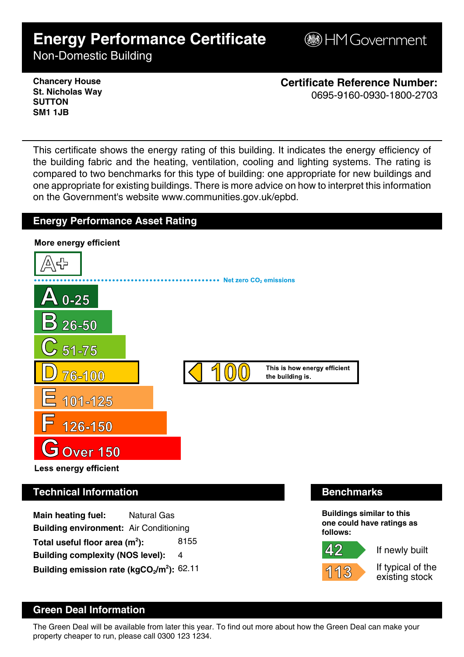# **Energy Performance Certificate**

**B**HM Government

Non-Domestic Building

**Chancery House St. Nicholas Way SUTTON SM1 1JB**

**Certificate Reference Number:** 0695-9160-0930-1800-2703

This certificate shows the energy rating of this building. It indicates the energy efficiency of the building fabric and the heating, ventilation, cooling and lighting systems. The rating is compared to two benchmarks for this type of building: one appropriate for new buildings and one appropriate for existing buildings. There is more advice on how to interpret this information on the Government's website www.communities.gov.uk/epbd.

## **Energy Performance Asset Rating**



**Main heating fuel:** Natural Gas **Building environment:** Air Conditioning Total useful floor area (m<sup>2</sup>): **):** 8155 **Building complexity (NOS level):** 4 **Building emission rate (kgCO2/m<sup>2</sup> ):** 62.11



If newly built

13

If typical of the existing stock

# **Green Deal Information**

The Green Deal will be available from later this year. To find out more about how the Green Deal can make your property cheaper to run, please call 0300 123 1234.